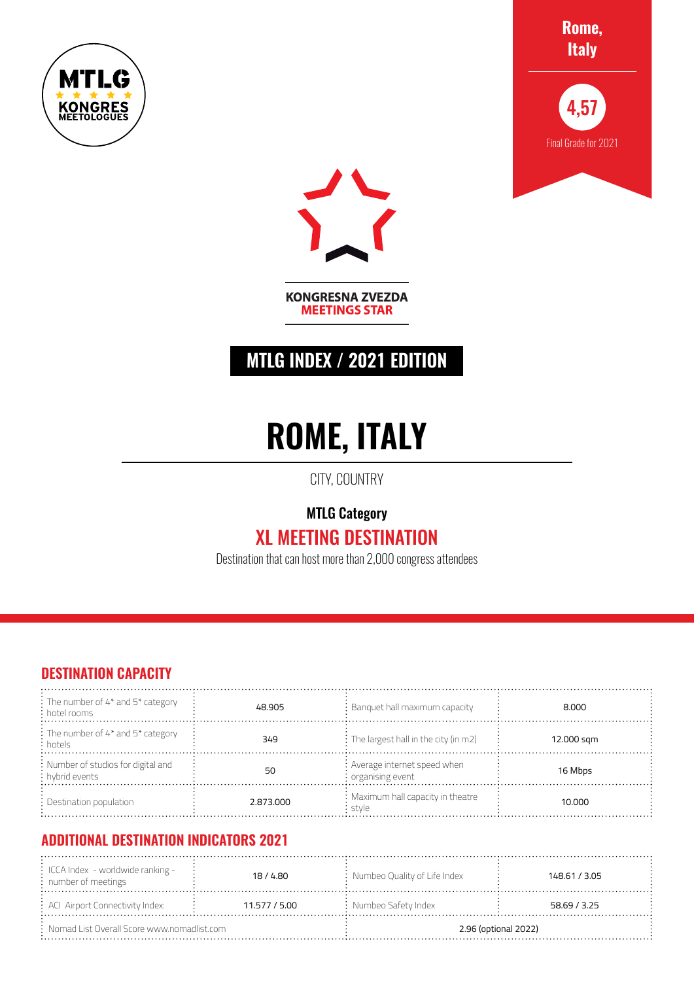





**KONGRESNA ZVEZDA MEETINGS STAR** 

## **MTLG INDEX / 2021 EDITION**

# **ROME, ITALY**

CITY, COUNTRY

### MTLG Category XL MEETING DESTINATION

Destination that can host more than 2,000 congress attendees

#### **DESTINATION CAPACITY**

| $\frac{1}{2}$ : The number of 4* and 5* category<br>$\frac{1}{2}$ hotel rooms | 48.905    | : Banquet hall maximum capacity                                 | 8.000      |
|-------------------------------------------------------------------------------|-----------|-----------------------------------------------------------------|------------|
| $\frac{1}{2}$ The number of 4* and 5* category<br>: hotels                    | 349       | $\therefore$ The largest hall in the city (in m2)               | 12.000 sqm |
| : Number of studios for digital and<br>: hybrid events                        | 50        | : Average internet speed when<br>$\frac{1}{2}$ organising event | 16 Mbps    |
| $:$ Destination population                                                    | 2.873.000 | : Maximum hall capacity in theatre<br>stvle                     | 10.000     |

#### **ADDITIONAL DESTINATION INDICATORS 2021**

| $\frac{1}{2}$ ICCA Index - worldwide ranking -<br>$:$ number of meetings | 18/4.80       | : Numbeo Quality of Life Index | 148.61 / 3.05 |
|--------------------------------------------------------------------------|---------------|--------------------------------|---------------|
| : ACI Airport Connectivity Index:                                        | 11.577 / 5.00 | $:$ Numbeo Safety Index        | 58.69 / 3.25  |
| $\therefore$ Nomad List Overall Score www.nomadlist.com                  |               | 2.96 (optional 2022)           |               |